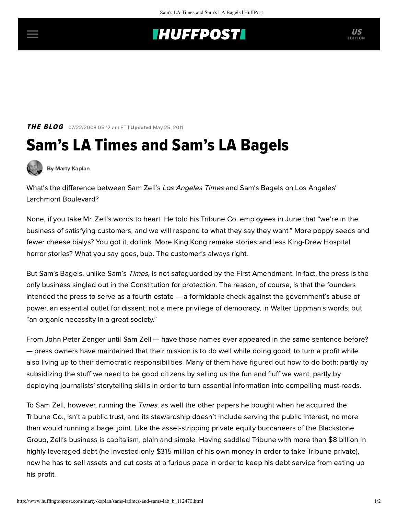## **INUFFPOSTI** US

### **THE BLOG** 07/22/2008 05:12 am ET | Updated May 25, 2011

# Sam's LA Times and Sam's LA Bagels



[By Marty Kaplan](http://www.huffingtonpost.com/author/marty-kaplan)

What's the difference between Sam Zell's Los Angeles Times and Sam's Bagels on Los Angeles' Larchmont Boulevard?

None, if you take Mr. Zell's words to heart. He told his Tribune Co. employees in June that "we're in the business of satisfying customers, and we will respond to what they say they want." More poppy seeds and fewer cheese bialys? You got it, dollink. More King Kong remake stories and less King-Drew Hospital horror stories? What you say goes, bub. The customer's always right.

But Sam's Bagels, unlike Sam's Times, is not safeguarded by the First Amendment. In fact, the press is the only business singled out in the Constitution for protection. The reason, of course, is that the founders intended the press to serve as a fourth estate — a formidable check against the government's abuse of power, an essential outlet for dissent; not a mere privilege of democracy, in Walter Lippman's words, but "an organic necessity in a great society."

From John Peter Zenger until Sam Zell — have those names ever appeared in the same sentence before? — press owners have maintained that their mission is to do well while doing good, to turn a profit while also living up to their democratic responsibilities. Many of them have figured out how to do both: partly by subsidizing the stuff we need to be good citizens by selling us the fun and fluff we want; partly by deploying journalists' storytelling skills in order to turn essential information into compelling must-reads.

To Sam Zell, however, running the *Times*, as well the other papers he bought when he acquired the Tribune Co., isn't a public trust, and its stewardship doesn't include serving the public interest, no more than would running a bagel joint. Like the asset-stripping private equity buccaneers of the Blackstone Group, Zell's business is capitalism, plain and simple. Having saddled Tribune with more than \$8 billion in highly leveraged debt (he invested only \$315 million of his own money in order to take Tribune private), now he has to sell assets and cut costs at a furious pace in order to keep his debt service from eating up his profit.